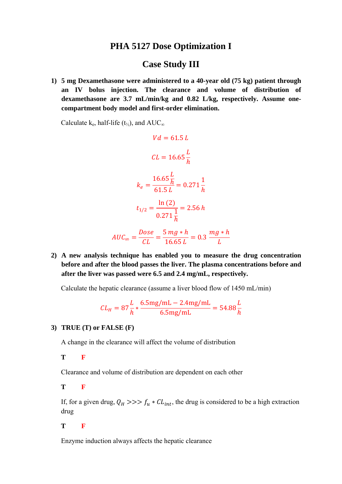## **PHA 5127 Dose Optimization I**

## **Case Study III**

1) 5 mg Dexamethasone were administered to a 40-year old (75 kg) patient through an IV bolus injection. The clearance and volume of distribution of dexamethasone are 3.7 mL/min/kg and 0.82 L/kg, respectively. Assume onecompartment body model and first-order elimination.

Calculate  $k_e$ , half-life (t<sub>1/2</sub>), and AUC<sub>∞</sub>

$$
Vd = 61.5 L
$$
  
\n
$$
CL = 16.65 \frac{L}{h}
$$
  
\n
$$
k_e = \frac{16.65 \frac{L}{h}}{61.5 L} = 0.271 \frac{1}{h}
$$
  
\n
$$
t_{1/2} = \frac{\ln(2)}{0.271 \frac{1}{h}} = 2.56 h
$$
  
\n
$$
AUC_{\infty} = \frac{Dose}{CL} = \frac{5 mg * h}{16.65 L} = 0.3 \frac{mg * h}{L}
$$

2) A new analysis technique has enabled you to measure the drug concentration before and after the blood passes the liver. The plasma concentrations before and after the liver was passed were 6.5 and 2.4 mg/mL, respectively.

Calculate the hepatic clearance (assume a liver blood flow of 1450 mL/min)

$$
CL_H = 87 \frac{L}{h} * \frac{6.5 \text{mg/mL} - 2.4 \text{mg/mL}}{6.5 \text{mg/mL}} = 54.88 \frac{L}{h}
$$

## 3) TRUE  $(T)$  or FALSE  $(F)$

A change in the clearance will affect the volume of distribution

T

 $\mathbf{F}$ 

Clearance and volume of distribution are dependent on each other

T F

If, for a given drug,  $Q_H \gg \gg f_u * CL_{int}$ , the drug is considered to be a high extraction drug

T

 $\mathbf{F}$ 

Enzyme induction always affects the hepatic clearance